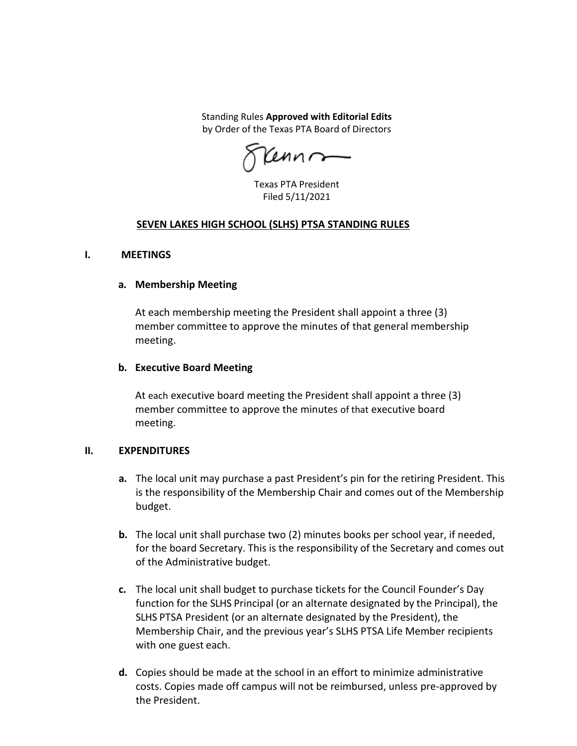Standing Rules **Approved with Editorial Edits** by Order of the Texas PTA Board of Directors

Kenns

Texas PTA President Filed 5/11/2021

## **SEVEN LAKES HIGH SCHOOL (SLHS) PTSA STANDING RULES**

#### **I. MEETINGS**

#### **a. Membership Meeting**

At each membership meeting the President shall appoint a three (3) member committee to approve the minutes of that general membership meeting.

#### **b. Executive Board Meeting**

At each executive board meeting the President shall appoint a three (3) member committee to approve the minutes of that executive board meeting.

#### **II. EXPENDITURES**

- **a.** The local unit may purchase a past President's pin for the retiring President. This is the responsibility of the Membership Chair and comes out of the Membership budget.
- **b.** The local unit shall purchase two (2) minutes books per school year, if needed, for the board Secretary. This is the responsibility of the Secretary and comes out of the Administrative budget.
- **c.** The local unit shall budget to purchase tickets for the Council Founder's Day function for the SLHS Principal (or an alternate designated by the Principal), the SLHS PTSA President (or an alternate designated by the President), the Membership Chair, and the previous year's SLHS PTSA Life Member recipients with one guest each.
- **d.** Copies should be made at the school in an effort to minimize administrative costs. Copies made off campus will not be reimbursed, unless pre-approved by the President.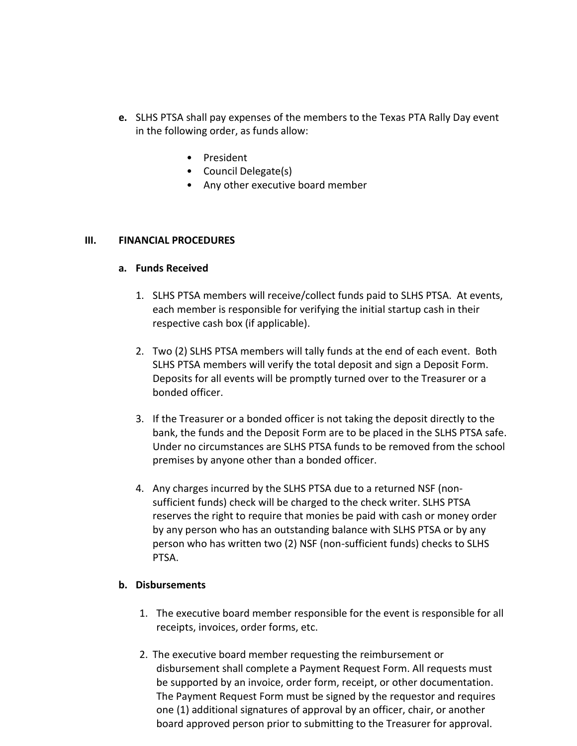- **e.** SLHS PTSA shall pay expenses of the members to the Texas PTA Rally Day event in the following order, as funds allow:
	- President
	- Council Delegate(s)
	- Any other executive board member

## **III. FINANCIAL PROCEDURES**

#### **a. Funds Received**

- 1. SLHS PTSA members will receive/collect funds paid to SLHS PTSA. At events, each member is responsible for verifying the initial startup cash in their respective cash box (if applicable).
- 2. Two (2) SLHS PTSA members will tally funds at the end of each event. Both SLHS PTSA members will verify the total deposit and sign a Deposit Form. Deposits for all events will be promptly turned over to the Treasurer or a bonded officer.
- 3. If the Treasurer or a bonded officer is not taking the deposit directly to the bank, the funds and the Deposit Form are to be placed in the SLHS PTSA safe. Under no circumstances are SLHS PTSA funds to be removed from the school premises by anyone other than a bonded officer.
- 4. Any charges incurred by the SLHS PTSA due to a returned NSF (nonsufficient funds) check will be charged to the check writer. SLHS PTSA reserves the right to require that monies be paid with cash or money order by any person who has an outstanding balance with SLHS PTSA or by any person who has written two (2) NSF (non-sufficient funds) checks to SLHS PTSA.

## **b. Disbursements**

- 1. The executive board member responsible for the event is responsible for all receipts, invoices, order forms, etc.
- 2. The executive board member requesting the reimbursement or disbursement shall complete a Payment Request Form. All requests must be supported by an invoice, order form, receipt, or other documentation. The Payment Request Form must be signed by the requestor and requires one (1) additional signatures of approval by an officer, chair, or another board approved person prior to submitting to the Treasurer for approval.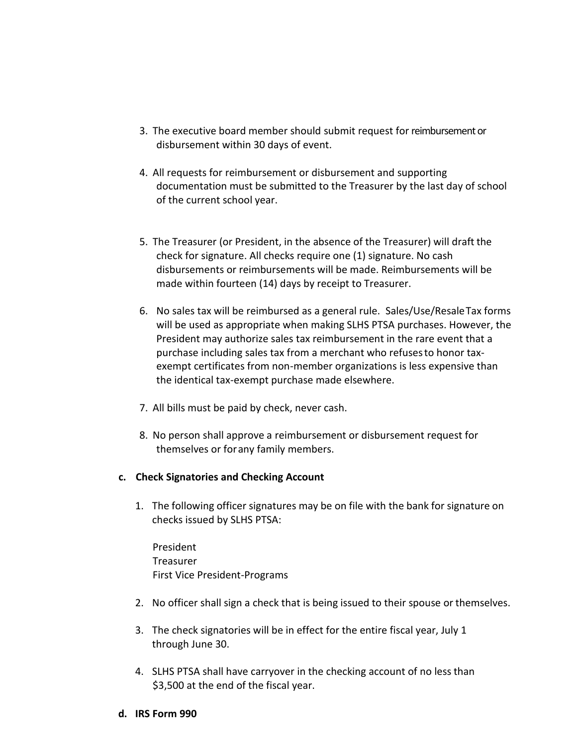- 3. The executive board member should submit request for reimbursement or disbursement within 30 days of event.
- 4. All requests for reimbursement or disbursement and supporting documentation must be submitted to the Treasurer by the last day of school of the current school year.
- 5. The Treasurer (or President, in the absence of the Treasurer) will draft the check for signature. All checks require one (1) signature. No cash disbursements or reimbursements will be made. Reimbursements will be made within fourteen (14) days by receipt to Treasurer.
- 6. No sales tax will be reimbursed as a general rule. Sales/Use/ResaleTax forms will be used as appropriate when making SLHS PTSA purchases. However, the President may authorize sales tax reimbursement in the rare event that a purchase including sales tax from a merchant who refusesto honor taxexempt certificates from non-member organizations is less expensive than the identical tax-exempt purchase made elsewhere.
- 7. All bills must be paid by check, never cash.
- 8. No person shall approve a reimbursement or disbursement request for themselves or forany family members.

# **c. Check Signatories and Checking Account**

- 1. The following officer signatures may be on file with the bank for signature on checks issued by SLHS PTSA:
	- President Treasurer First Vice President-Programs
- 2. No officer shall sign a check that is being issued to their spouse or themselves.
- 3. The check signatories will be in effect for the entire fiscal year, July 1 through June 30.
- 4. SLHS PTSA shall have carryover in the checking account of no lessthan \$3,500 at the end of the fiscal year.
- **d. IRS Form 990**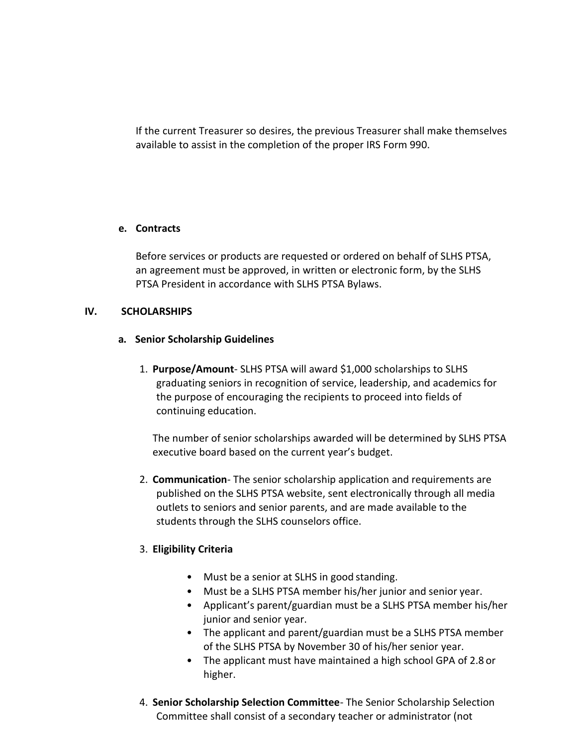If the current Treasurer so desires, the previous Treasurer shall make themselves available to assist in the completion of the proper IRS Form 990.

#### **e. Contracts**

Before services or products are requested or ordered on behalf of SLHS PTSA, an agreement must be approved, in written or electronic form, by the SLHS PTSA President in accordance with SLHS PTSA Bylaws.

## **IV. SCHOLARSHIPS**

## **a. Senior Scholarship Guidelines**

1. **Purpose/Amount**- SLHS PTSA will award \$1,000 scholarships to SLHS graduating seniors in recognition of service, leadership, and academics for the purpose of encouraging the recipients to proceed into fields of continuing education.

The number of senior scholarships awarded will be determined by SLHS PTSA executive board based on the current year's budget.

2. **Communication**- The senior scholarship application and requirements are published on the SLHS PTSA website, sent electronically through all media outlets to seniors and senior parents, and are made available to the students through the SLHS counselors office.

## 3. **Eligibility Criteria**

- Must be a senior at SLHS in good standing.
- Must be a SLHS PTSA member his/her junior and senior year.
- Applicant's parent/guardian must be a SLHS PTSA member his/her junior and senior year.
- The applicant and parent/guardian must be a SLHS PTSA member of the SLHS PTSA by November 30 of his/her senior year.
- The applicant must have maintained a high school GPA of 2.8 or higher.
- 4. **Senior Scholarship Selection Committee** The Senior Scholarship Selection Committee shall consist of a secondary teacher or administrator (not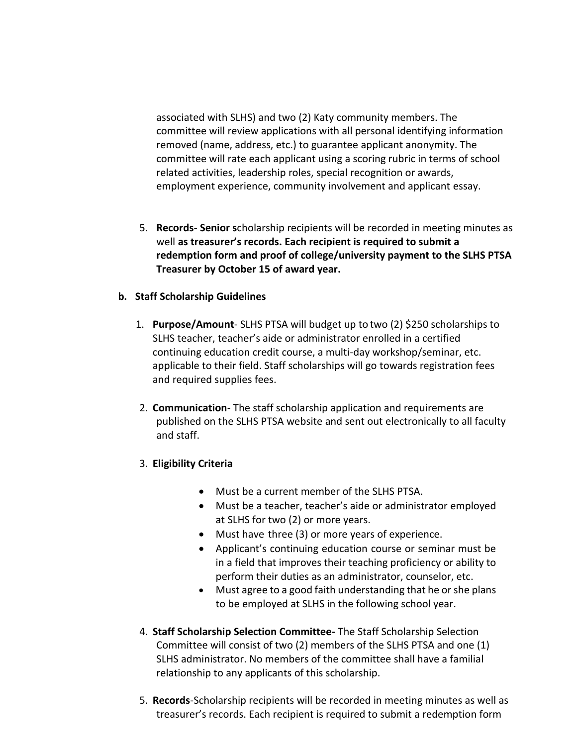associated with SLHS) and two (2) Katy community members. The committee will review applications with all personal identifying information removed (name, address, etc.) to guarantee applicant anonymity. The committee will rate each applicant using a scoring rubric in terms of school related activities, leadership roles, special recognition or awards, employment experience, community involvement and applicant essay.

5. **Records- Senior s**cholarship recipients will be recorded in meeting minutes as well **as treasurer's records. Each recipient is required to submit a redemption form and proof of college/university payment to the SLHS PTSA Treasurer by October 15 of award year.** 

## **b. Staff Scholarship Guidelines**

- 1. **Purpose/Amount** SLHS PTSA will budget up to two (2) \$250 scholarships to SLHS teacher, teacher's aide or administrator enrolled in a certified continuing education credit course, a multi-day workshop/seminar, etc. applicable to their field. Staff scholarships will go towards registration fees and required supplies fees.
- 2. **Communication** The staff scholarship application and requirements are published on the SLHS PTSA website and sent out electronically to all faculty and staff.
- 3. **Eligibility Criteria**
	- Must be a current member of the SLHS PTSA.
	- Must be a teacher, teacher's aide or administrator employed at SLHS for two (2) or more years.
	- Must have three (3) or more years of experience.
	- Applicant's continuing education course or seminar must be in a field that improves their teaching proficiency or ability to perform their duties as an administrator, counselor, etc.
	- Must agree to a good faith understanding that he or she plans to be employed at SLHS in the following school year.
- 4. **Staff Scholarship Selection Committee-** The Staff Scholarship Selection Committee will consist of two (2) members of the SLHS PTSA and one (1) SLHS administrator. No members of the committee shall have a familial relationship to any applicants of this scholarship.
- 5. **Records**-Scholarship recipients will be recorded in meeting minutes as well as treasurer's records. Each recipient is required to submit a redemption form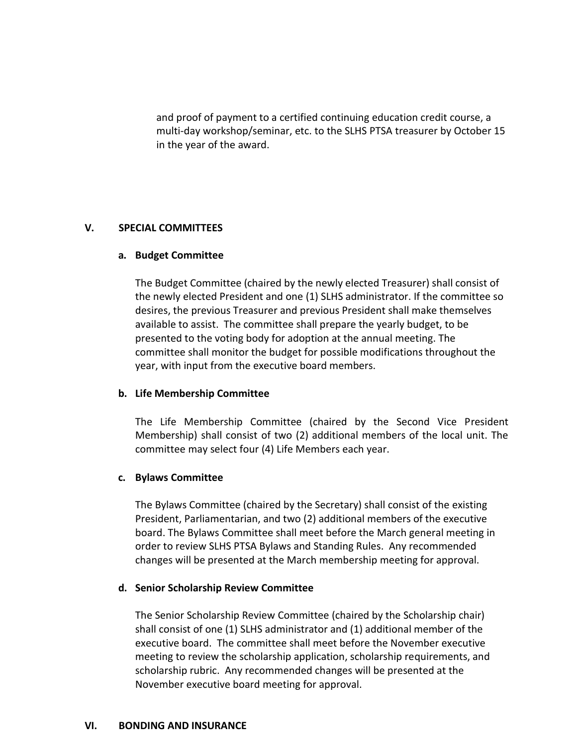and proof of payment to a certified continuing education credit course, a multi-day workshop/seminar, etc. to the SLHS PTSA treasurer by October 15 in the year of the award.

## **V. SPECIAL COMMITTEES**

## **a. Budget Committee**

The Budget Committee (chaired by the newly elected Treasurer) shall consist of the newly elected President and one (1) SLHS administrator. If the committee so desires, the previous Treasurer and previous President shall make themselves available to assist. The committee shall prepare the yearly budget, to be presented to the voting body for adoption at the annual meeting. The committee shall monitor the budget for possible modifications throughout the year, with input from the executive board members.

## **b. Life Membership Committee**

The Life Membership Committee (chaired by the Second Vice President Membership) shall consist of two (2) additional members of the local unit. The committee may select four (4) Life Members each year.

## **c. Bylaws Committee**

The Bylaws Committee (chaired by the Secretary) shall consist of the existing President, Parliamentarian, and two (2) additional members of the executive board. The Bylaws Committee shall meet before the March general meeting in order to review SLHS PTSA Bylaws and Standing Rules. Any recommended changes will be presented at the March membership meeting for approval.

## **d. Senior Scholarship Review Committee**

The Senior Scholarship Review Committee (chaired by the Scholarship chair) shall consist of one (1) SLHS administrator and (1) additional member of the executive board. The committee shall meet before the November executive meeting to review the scholarship application, scholarship requirements, and scholarship rubric. Any recommended changes will be presented at the November executive board meeting for approval.

## **VI. BONDING AND INSURANCE**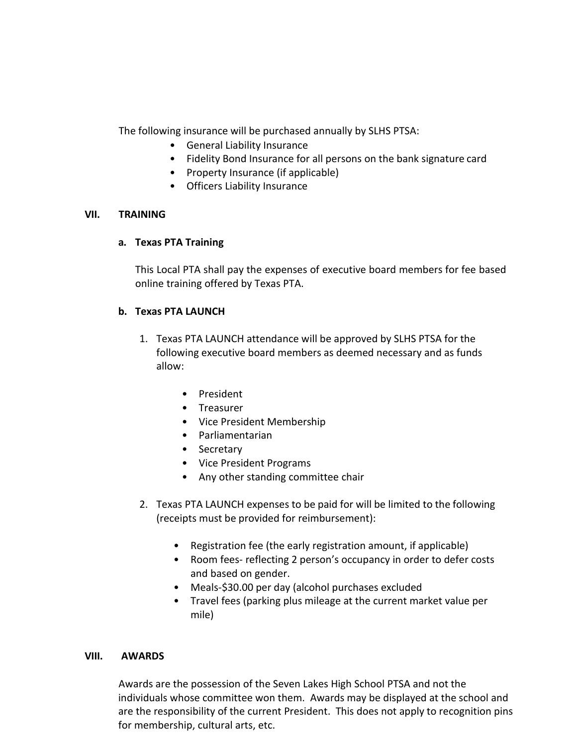The following insurance will be purchased annually by SLHS PTSA:

- General Liability Insurance
- Fidelity Bond Insurance for all persons on the bank signature card
- Property Insurance (if applicable)
- Officers Liability Insurance

## **VII. TRAINING**

## **a. Texas PTA Training**

This Local PTA shall pay the expenses of executive board members for fee based online training offered by Texas PTA.

# **b. Texas PTA LAUNCH**

- 1. Texas PTA LAUNCH attendance will be approved by SLHS PTSA for the following executive board members as deemed necessary and as funds allow:
	- President
	- Treasurer
	- Vice President Membership
	- Parliamentarian
	- Secretary
	- Vice President Programs
	- Any other standing committee chair
- 2. Texas PTA LAUNCH expenses to be paid for will be limited to the following (receipts must be provided for reimbursement):
	- Registration fee (the early registration amount, if applicable)
	- Room fees- reflecting 2 person's occupancy in order to defer costs and based on gender.
	- Meals-\$30.00 per day (alcohol purchases excluded
	- Travel fees (parking plus mileage at the current market value per mile)

# **VIII. AWARDS**

Awards are the possession of the Seven Lakes High School PTSA and not the individuals whose committee won them. Awards may be displayed at the school and are the responsibility of the current President. This does not apply to recognition pins for membership, cultural arts, etc.